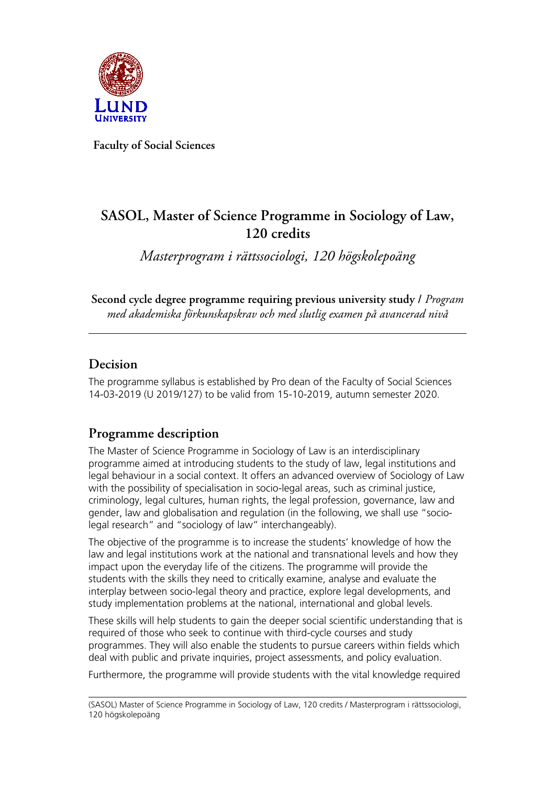

**Faculty of Social Sciences**

# **SASOL, Master of Science Programme in Sociology of Law, 120 credits**

*Masterprogram i rättssociologi, 120 högskolepoäng*

**Second cycle degree programme requiring previous university study /** *Program med akademiska förkunskapskrav och med slutlig examen på avancerad nivå*

# **Decision**

The programme syllabus is established by Pro dean of the Faculty of Social Sciences 14-03-2019 (U 2019/127) to be valid from 15-10-2019, autumn semester 2020.

# **Programme description**

The Master of Science Programme in Sociology of Law is an interdisciplinary programme aimed at introducing students to the study of law, legal institutions and legal behaviour in a social context. It offers an advanced overview of Sociology of Law with the possibility of specialisation in socio-legal areas, such as criminal justice, criminology, legal cultures, human rights, the legal profession, governance, law and gender, law and globalisation and regulation (in the following, we shall use "sociolegal research" and "sociology of law" interchangeably).

The objective of the programme is to increase the students' knowledge of how the law and legal institutions work at the national and transnational levels and how they impact upon the everyday life of the citizens. The programme will provide the students with the skills they need to critically examine, analyse and evaluate the interplay between socio-legal theory and practice, explore legal developments, and study implementation problems at the national, international and global levels.

These skills will help students to gain the deeper social scientific understanding that is required of those who seek to continue with third-cycle courses and study programmes. They will also enable the students to pursue careers within fields which deal with public and private inquiries, project assessments, and policy evaluation.

Furthermore, the programme will provide students with the vital knowledge required

<sup>(</sup>SASOL) Master of Science Programme in Sociology of Law, 120 credits / Masterprogram i rättssociologi, 120 högskolepoäng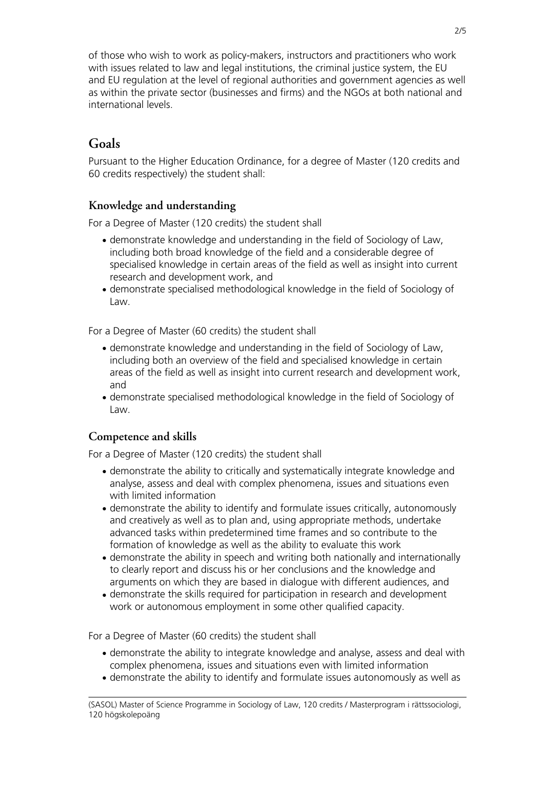of those who wish to work as policy-makers, instructors and practitioners who work with issues related to law and legal institutions, the criminal justice system, the EU and EU regulation at the level of regional authorities and government agencies as well as within the private sector (businesses and firms) and the NGOs at both national and international levels.

# **Goals**

Pursuant to the Higher Education Ordinance, for a degree of Master (120 credits and 60 credits respectively) the student shall:

### **Knowledge and understanding**

For a Degree of Master (120 credits) the student shall

- demonstrate knowledge and understanding in the field of Sociology of Law, including both broad knowledge of the field and a considerable degree of specialised knowledge in certain areas of the field as well as insight into current research and development work, and
- demonstrate specialised methodological knowledge in the field of Sociology of Law.

For a Degree of Master (60 credits) the student shall

- demonstrate knowledge and understanding in the field of Sociology of Law, including both an overview of the field and specialised knowledge in certain areas of the field as well as insight into current research and development work, and
- demonstrate specialised methodological knowledge in the field of Sociology of Law.

### **Competence and skills**

For a Degree of Master (120 credits) the student shall

- demonstrate the ability to critically and systematically integrate knowledge and analyse, assess and deal with complex phenomena, issues and situations even with limited information
- demonstrate the ability to identify and formulate issues critically, autonomously and creatively as well as to plan and, using appropriate methods, undertake advanced tasks within predetermined time frames and so contribute to the formation of knowledge as well as the ability to evaluate this work
- demonstrate the ability in speech and writing both nationally and internationally to clearly report and discuss his or her conclusions and the knowledge and arguments on which they are based in dialogue with different audiences, and
- demonstrate the skills required for participation in research and development work or autonomous employment in some other qualified capacity.

For a Degree of Master (60 credits) the student shall

- demonstrate the ability to integrate knowledge and analyse, assess and deal with complex phenomena, issues and situations even with limited information
- demonstrate the ability to identify and formulate issues autonomously as well as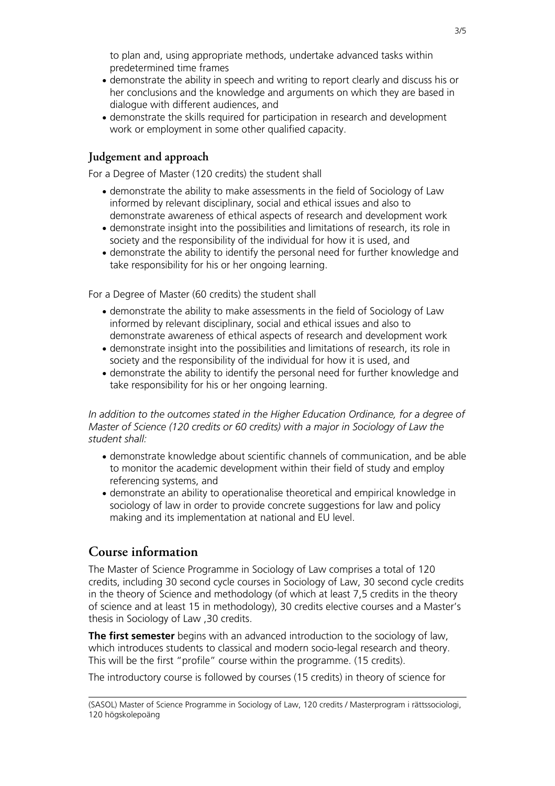to plan and, using appropriate methods, undertake advanced tasks within predetermined time frames

- demonstrate the ability in speech and writing to report clearly and discuss his or her conclusions and the knowledge and arguments on which they are based in dialogue with different audiences, and
- demonstrate the skills required for participation in research and development work or employment in some other qualified capacity.

#### **Judgement and approach**

For a Degree of Master (120 credits) the student shall

- demonstrate the ability to make assessments in the field of Sociology of Law informed by relevant disciplinary, social and ethical issues and also to demonstrate awareness of ethical aspects of research and development work
- demonstrate insight into the possibilities and limitations of research, its role in society and the responsibility of the individual for how it is used, and
- demonstrate the ability to identify the personal need for further knowledge and take responsibility for his or her ongoing learning.

For a Degree of Master (60 credits) the student shall

- demonstrate the ability to make assessments in the field of Sociology of Law informed by relevant disciplinary, social and ethical issues and also to demonstrate awareness of ethical aspects of research and development work
- demonstrate insight into the possibilities and limitations of research, its role in society and the responsibility of the individual for how it is used, and
- demonstrate the ability to identify the personal need for further knowledge and take responsibility for his or her ongoing learning.

*In addition to the outcomes stated in the Higher Education Ordinance, for a degree of Master of Science (120 credits or 60 credits) with a major in Sociology of Law the student shall:*

- demonstrate knowledge about scientific channels of communication, and be able to monitor the academic development within their field of study and employ referencing systems, and
- demonstrate an ability to operationalise theoretical and empirical knowledge in sociology of law in order to provide concrete suggestions for law and policy making and its implementation at national and EU level.

### **Course information**

The Master of Science Programme in Sociology of Law comprises a total of 120 credits, including 30 second cycle courses in Sociology of Law, 30 second cycle credits in the theory of Science and methodology (of which at least 7,5 credits in the theory of science and at least 15 in methodology), 30 credits elective courses and a Master's thesis in Sociology of Law ,30 credits.

**The first semester** begins with an advanced introduction to the sociology of law, which introduces students to classical and modern socio-legal research and theory. This will be the first "profile" course within the programme. (15 credits).

The introductory course is followed by courses (15 credits) in theory of science for

<sup>(</sup>SASOL) Master of Science Programme in Sociology of Law, 120 credits / Masterprogram i rättssociologi, 120 högskolepoäng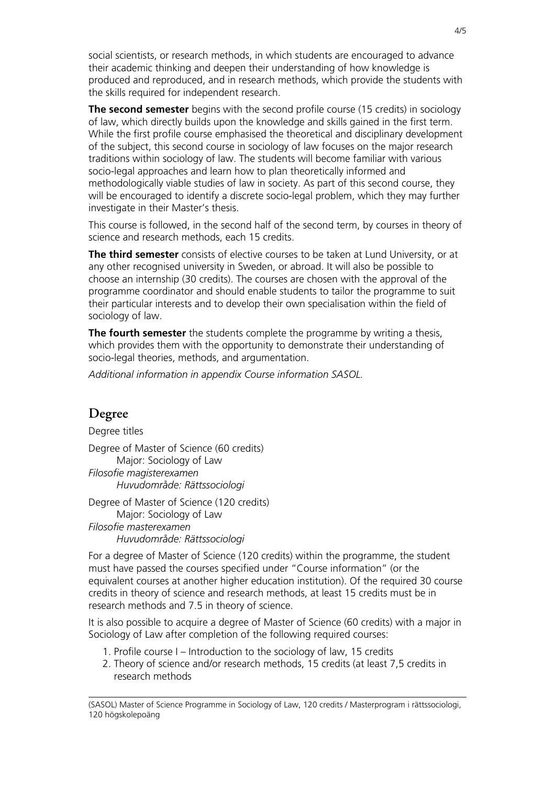social scientists, or research methods, in which students are encouraged to advance their academic thinking and deepen their understanding of how knowledge is produced and reproduced, and in research methods, which provide the students with the skills required for independent research.

**The second semester** begins with the second profile course (15 credits) in sociology of law, which directly builds upon the knowledge and skills gained in the first term. While the first profile course emphasised the theoretical and disciplinary development of the subject, this second course in sociology of law focuses on the major research traditions within sociology of law. The students will become familiar with various socio-legal approaches and learn how to plan theoretically informed and methodologically viable studies of law in society. As part of this second course, they will be encouraged to identify a discrete socio-legal problem, which they may further investigate in their Master's thesis.

This course is followed, in the second half of the second term, by courses in theory of science and research methods, each 15 credits.

**The third semester** consists of elective courses to be taken at Lund University, or at any other recognised university in Sweden, or abroad. It will also be possible to choose an internship (30 credits). The courses are chosen with the approval of the programme coordinator and should enable students to tailor the programme to suit their particular interests and to develop their own specialisation within the field of sociology of law.

**The fourth semester** the students complete the programme by writing a thesis, which provides them with the opportunity to demonstrate their understanding of socio-legal theories, methods, and argumentation.

*Additional information in appendix Course information SASOL.*

### **Degree**

Degree titles Degree of Master of Science (60 credits) Major: Sociology of Law *Filosofie magisterexamen Huvudområde: Rättssociologi*

Degree of Master of Science (120 credits) Major: Sociology of Law *Filosofie masterexamen Huvudområde: Rättssociologi*

For a degree of Master of Science (120 credits) within the programme, the student must have passed the courses specified under "Course information" (or the equivalent courses at another higher education institution). Of the required 30 course credits in theory of science and research methods, at least 15 credits must be in research methods and 7.5 in theory of science.

It is also possible to acquire a degree of Master of Science (60 credits) with a major in Sociology of Law after completion of the following required courses:

- 1. Profile course I Introduction to the sociology of law, 15 credits
- 2. Theory of science and/or research methods, 15 credits (at least 7,5 credits in research methods

(SASOL) Master of Science Programme in Sociology of Law, 120 credits / Masterprogram i rättssociologi, 120 högskolepoäng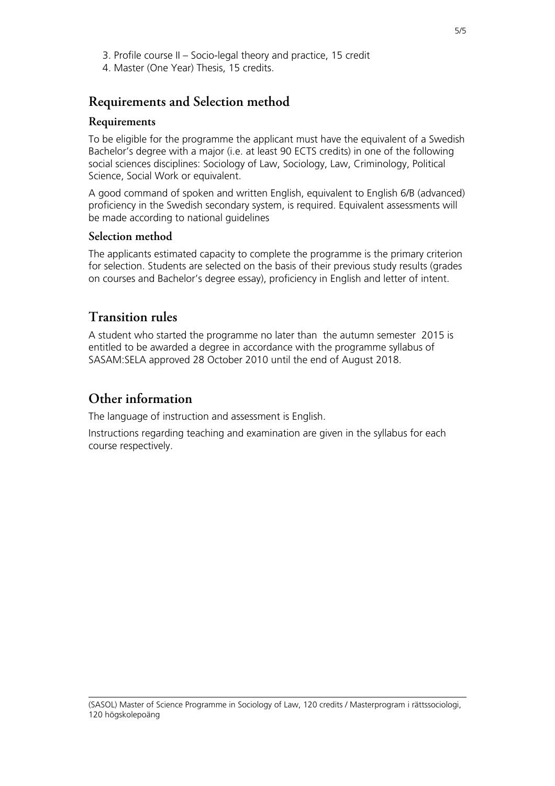- 3. Profile course II Socio-legal theory and practice, 15 credit
- 4. Master (One Year) Thesis, 15 credits.

## **Requirements and Selection method**

#### **Requirements**

To be eligible for the programme the applicant must have the equivalent of a Swedish Bachelor's degree with a major (i.e. at least 90 ECTS credits) in one of the following social sciences disciplines: Sociology of Law, Sociology, Law, Criminology, Political Science, Social Work or equivalent.

A good command of spoken and written English, equivalent to English 6/B (advanced) proficiency in the Swedish secondary system, is required. Equivalent assessments will be made according to national guidelines

#### **Selection method**

The applicants estimated capacity to complete the programme is the primary criterion for selection. Students are selected on the basis of their previous study results (grades on courses and Bachelor's degree essay), proficiency in English and letter of intent.

## **Transition rules**

A student who started the programme no later than the autumn semester 2015 is entitled to be awarded a degree in accordance with the programme syllabus of SASAM:SELA approved 28 October 2010 until the end of August 2018.

# **Other information**

The language of instruction and assessment is English.

Instructions regarding teaching and examination are given in the syllabus for each course respectively.